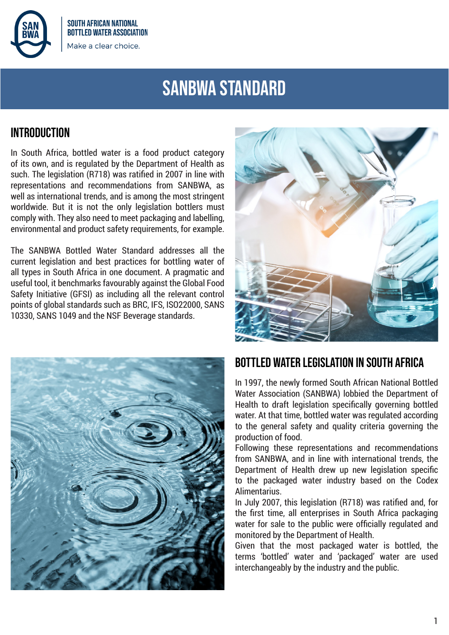

**SOUTH AFRICAN NATIONAL BOTTLED WATER ASSOCIATION** Make a clear choice.

# **SANBWA STANDARD**

### **INTRODUCTION**

In South Africa, bottled water is a food product category of its own, and is regulated by the Department of Health as such. The legislation (R718) was ratified in 2007 in line with representations and recommendations from SANBWA, as well as international trends, and is among the most stringent worldwide. But it is not the only legislation bottlers must comply with. They also need to meet packaging and labelling, environmental and product safety requirements, for example.

The SANBWA Bottled Water Standard addresses all the current legislation and best practices for bottling water of all types in South Africa in one document. A pragmatic and useful tool, it benchmarks favourably against the Global Food Safety Initiative (GFSI) as including all the relevant control points of global standards such as BRC, IFS, ISO22000, SANS 10330, SANS 1049 and the NSF Beverage standards.





## **BOTTLED WATER LEGISLATION IN SOUTH AFRICA**

In 1997, the newly formed South African National Bottled Water Association (SANBWA) lobbied the Department of Health to draft legislation specifically governing bottled water. At that time, bottled water was regulated according to the general safety and quality criteria governing the production of food.

Following these representations and recommendations from SANBWA, and in line with international trends, the Department of Health drew up new legislation specific to the packaged water industry based on the Codex Alimentarius.

In July 2007, this legislation (R718) was ratified and, for the first time, all enterprises in South Africa packaging water for sale to the public were officially regulated and monitored by the Department of Health.

Given that the most packaged water is bottled, the terms 'bottled' water and 'packaged' water are used interchangeably by the industry and the public.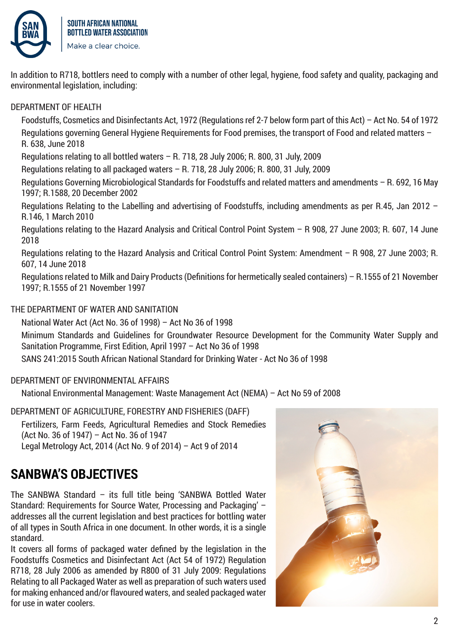

In addition to R718, bottlers need to comply with a number of other legal, hygiene, food safety and quality, packaging and environmental legislation, including:

### DEPARTMENT OF HEALTH

Foodstuffs, Cosmetics and Disinfectants Act, 1972 (Regulations ref 2-7 below form part of this Act) – Act No. 54 of 1972 Regulations governing General Hygiene Requirements for Food premises, the transport of Food and related matters – R. 638, June 2018

Regulations relating to all bottled waters – R. 718, 28 July 2006; R. 800, 31 July, 2009

Regulations relating to all packaged waters – R. 718, 28 July 2006; R. 800, 31 July, 2009

Regulations Governing Microbiological Standards for Foodstuffs and related matters and amendments – R. 692, 16 May 1997; R.1588, 20 December 2002

Regulations Relating to the Labelling and advertising of Foodstuffs, including amendments as per R.45, Jan 2012 – R.146, 1 March 2010

Regulations relating to the Hazard Analysis and Critical Control Point System – R 908, 27 June 2003; R. 607, 14 June 2018

Regulations relating to the Hazard Analysis and Critical Control Point System: Amendment – R 908, 27 June 2003; R. 607, 14 June 2018

Regulations related to Milk and Dairy Products (Definitions for hermetically sealed containers) – R.1555 of 21 November 1997; R.1555 of 21 November 1997

### THE DEPARTMENT OF WATER AND SANITATION

National Water Act (Act No. 36 of 1998) – Act No 36 of 1998 Minimum Standards and Guidelines for Groundwater Resource Development for the Community Water Supply and Sanitation Programme, First Edition, April 1997 – Act No 36 of 1998 SANS 241:2015 South African National Standard for Drinking Water - Act No 36 of 1998

### DEPARTMENT OF ENVIRONMENTAL AFFAIRS

National Environmental Management: Waste Management Act (NEMA) – Act No 59 of 2008

DEPARTMENT OF AGRICULTURE, FORESTRY AND FISHERIES (DAFF) Fertilizers, Farm Feeds, Agricultural Remedies and Stock Remedies (Act No. 36 of 1947) – Act No. 36 of 1947 Legal Metrology Act, 2014 (Act No. 9 of 2014) – Act 9 of 2014

# **SANBWA'S OBJECTIVES**

The SANBWA Standard – its full title being 'SANBWA Bottled Water Standard: Requirements for Source Water, Processing and Packaging' – addresses all the current legislation and best practices for bottling water of all types in South Africa in one document. In other words, it is a single standard.

It covers all forms of packaged water defined by the legislation in the Foodstuffs Cosmetics and Disinfectant Act (Act 54 of 1972) Regulation R718, 28 July 2006 as amended by R800 of 31 July 2009: Regulations Relating to all Packaged Water as well as preparation of such waters used for making enhanced and/or flavoured waters, and sealed packaged water for use in water coolers.

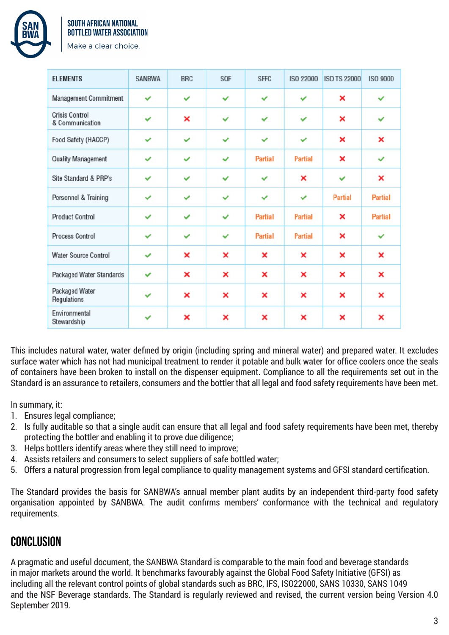

#### **SOUTH AFRICAN NATIONAL BOTTLED WATER ASSOCIATION**

Make a clear choice.

| <b>ELEMENTS</b>                          | <b>SANBWA</b> | <b>BRC</b>   | SQF                       | <b>SFFC</b>    | <b>ISO 22000</b> | <b>ISO TS 22000</b> | <b>ISO 9000</b> |
|------------------------------------------|---------------|--------------|---------------------------|----------------|------------------|---------------------|-----------------|
| Management Commitment                    | ✓             | ✓            | ✓                         | $\checkmark$   | ◡                | ×                   | ✓               |
| <b>Crisis Control</b><br>& Communication | ✓             | ×            | $\checkmark$              | $\checkmark$   | $\checkmark$     | ×                   | ✓               |
| Food Safety (HACCP)                      | ✓             | $\checkmark$ | ✓                         | ✓              | $\checkmark$     | ×                   | ×               |
| <b>Quality Management</b>                | $\checkmark$  | $\checkmark$ | ✓                         | <b>Partial</b> | <b>Partial</b>   | ×                   | ✓               |
| Site Standard & PRP's                    | $\checkmark$  | $\checkmark$ | $\checkmark$              | $\checkmark$   | ×                | $\checkmark$        | ×               |
| Personnel & Training                     | ✓             | ✓            | ✓                         | $\checkmark$   | ✓                | <b>Partial</b>      | <b>Partial</b>  |
| <b>Product Control</b>                   | $\checkmark$  | ✓            | $\checkmark$              | <b>Partial</b> | <b>Partial</b>   | ×                   | <b>Partial</b>  |
| <b>Process Control</b>                   | ✓             | ✓            | $\checkmark$              | <b>Partial</b> | <b>Partial</b>   | ×                   | ✓               |
| <b>Water Source Control</b>              | ✓             | ×            | $\boldsymbol{\mathsf{x}}$ | ×              | ×                | ×                   | ×               |
| Packaged Water Standards                 | $\checkmark$  | ×            | ×                         | ×              | ×                | ×                   | ×               |
| Packaged Water<br>Regulations            | ✓             | ×            | ×                         | ×              | ×                | ×                   | ×               |
| Environmental<br>Stewardship             | ✓             | ×            | ×                         | ×              | ×                | ×                   | ×               |

This includes natural water, water defined by origin (including spring and mineral water) and prepared water. It excludes surface water which has not had municipal treatment to render it potable and bulk water for office coolers once the seals of containers have been broken to install on the dispenser equipment. Compliance to all the requirements set out in the Standard is an assurance to retailers, consumers and the bottler that all legal and food safety requirements have been met.

In summary, it:

- 1. Ensures legal compliance;
- 2. Is fully auditable so that a single audit can ensure that all legal and food safety requirements have been met, thereby protecting the bottler and enabling it to prove due diligence;
- 3. Helps bottlers identify areas where they still need to improve;
- 4. Assists retailers and consumers to select suppliers of safe bottled water;
- 5. Offers a natural progression from legal compliance to quality management systems and GFSI standard certification.

The Standard provides the basis for SANBWA's annual member plant audits by an independent third-party food safety organisation appointed by SANBWA. The audit confirms members' conformance with the technical and regulatory requirements.

## **CONCLUSION**

A pragmatic and useful document, the SANBWA Standard is comparable to the main food and beverage standards in major markets around the world. It benchmarks favourably against the Global Food Safety Initiative (GFSI) as including all the relevant control points of global standards such as BRC, IFS, ISO22000, SANS 10330, SANS 1049 and the NSF Beverage standards. The Standard is regularly reviewed and revised, the current version being Version 4.0 September 2019.